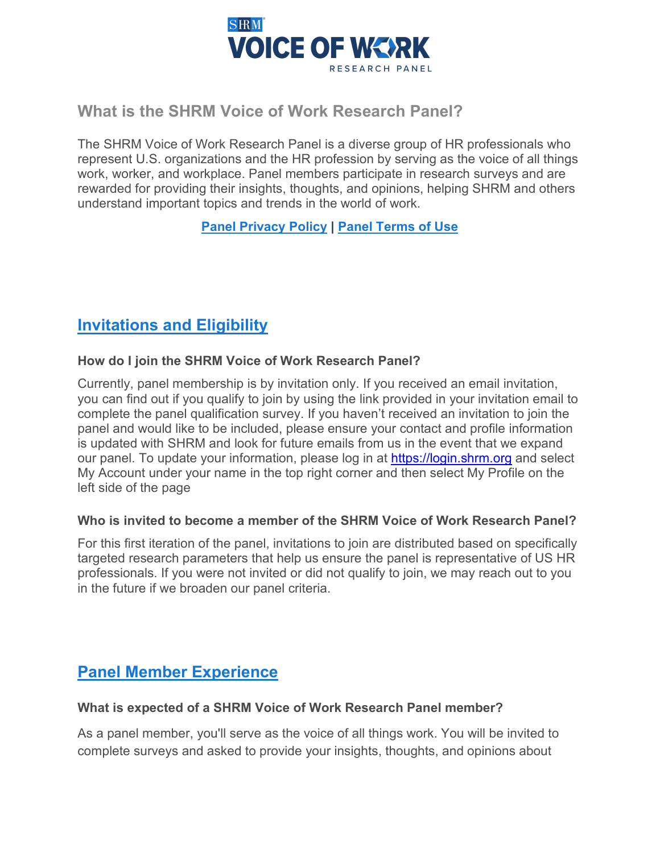

## **What is the SHRM Voice of Work Research Panel?**

The SHRM Voice of Work Research Panel is a diverse group of HR professionals who represent U.S. organizations and the HR profession by serving as the voice of all things work, worker, and workplace. Panel members participate in research surveys and are rewarded for providing their insights, thoughts, and opinions, helping SHRM and others understand important topics and trends in the world of work.

## **[Panel Privacy Policy](https://shrm.org/hr-today/trends-and-forecasting/research-and-surveys/Pages/Panel-Privacy-Policy.aspx) | [Panel Terms of Use](https://shrm.org/hr-today/trends-and-forecasting/research-and-surveys/Pages/Research-Panel-Terms-of-Use.aspx)**

# **[Invitations and Eligibility](https://www.shrm.org/hr-today/trends-and-forecasting/research-and-surveys/Pages/SHRM%20Research%20Panel.aspx)**

#### **How do I join the SHRM Voice of Work Research Panel?**

Currently, panel membership is by invitation only. If you received an email invitation, you can find out if you qualify to join by using the link provided in your invitation email to complete the panel qualification survey. If you haven't received an invitation to join the panel and would like to be included, please ensure your contact and profile information is updated with SHRM and look for future emails from us in the event that we expand our panel. To update your information, please log in at [https://login.shrm.org](https://login.shrm.org/) and select My Account under your name in the top right corner and then select My Profile on the left side of the page

#### **Who is invited to become a member of the SHRM Voice of Work Research Panel?**

For this first iteration of the panel, invitations to join are distributed based on specifically targeted research parameters that help us ensure the panel is representative of US HR professionals. If you were not invited or did not qualify to join, we may reach out to you in the future if we broaden our panel criteria.

# **[Panel Member Experience](https://www.shrm.org/hr-today/trends-and-forecasting/research-and-surveys/Pages/SHRM%20Research%20Panel.aspx)**

#### **What is expected of a SHRM Voice of Work Research Panel member?**

As a panel member, you'll serve as the voice of all things work. You will be invited to complete surveys and asked to provide your insights, thoughts, and opinions about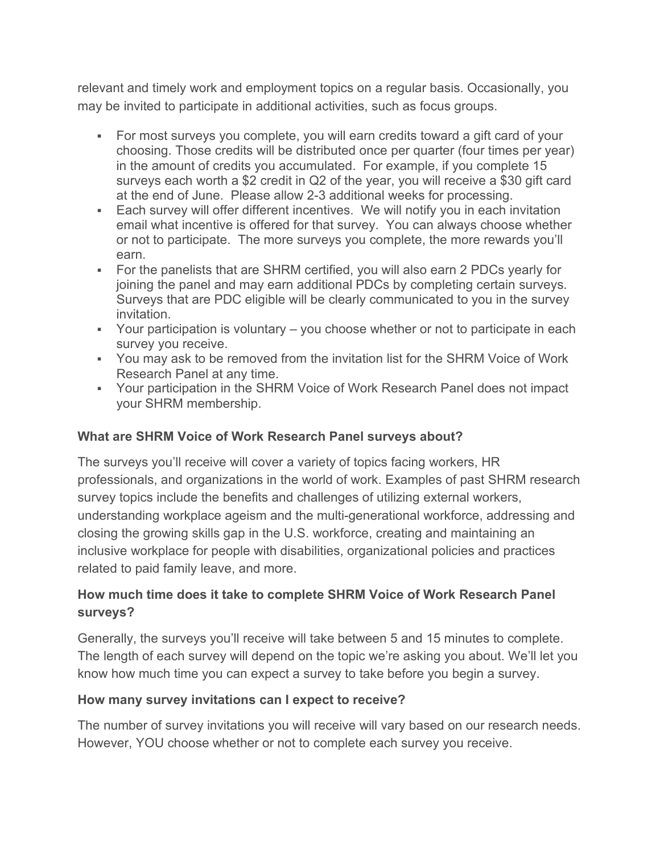relevant and timely work and employment topics on a regular basis. Occasionally, you may be invited to participate in additional activities, such as focus groups.

- For most surveys you complete, you will earn credits toward a gift card of your choosing. Those credits will be distributed once per quarter (four times per year) in the amount of credits you accumulated. For example, if you complete 15 surveys each worth a \$2 credit in Q2 of the year, you will receive a \$30 gift card at the end of June. Please allow 2-3 additional weeks for processing.
- Each survey will offer different incentives. We will notify you in each invitation email what incentive is offered for that survey. You can always choose whether or not to participate. The more surveys you complete, the more rewards you'll earn.
- For the panelists that are SHRM certified, you will also earn 2 PDCs yearly for joining the panel and may earn additional PDCs by completing certain surveys. Surveys that are PDC eligible will be clearly communicated to you in the survey invitation.
- Your participation is voluntary you choose whether or not to participate in each survey you receive.
- You may ask to be removed from the invitation list for the SHRM Voice of Work Research Panel at any time.
- Your participation in the SHRM Voice of Work Research Panel does not impact your SHRM membership.

#### **What are SHRM Voice of Work Research Panel surveys about?**

The surveys you'll receive will cover a variety of topics facing workers, HR professionals, and organizations in the world of work. Examples of past SHRM research survey topics include the benefits and challenges of utilizing external workers, understanding workplace ageism and the multi-generational workforce, addressing and closing the growing skills gap in the U.S. workforce, creating and maintaining an inclusive workplace for people with disabilities, organizational policies and practices related to paid family leave, and more.

## **How much time does it take to complete SHRM Voice of Work Research Panel surveys?**

Generally, the surveys you'll receive will take between 5 and 15 minutes to complete. The length of each survey will depend on the topic we're asking you about. We'll let you know how much time you can expect a survey to take before you begin a survey.

#### **How many survey invitations can I expect to receive?**

The number of survey invitations you will receive will vary based on our research needs. However, YOU choose whether or not to complete each survey you receive.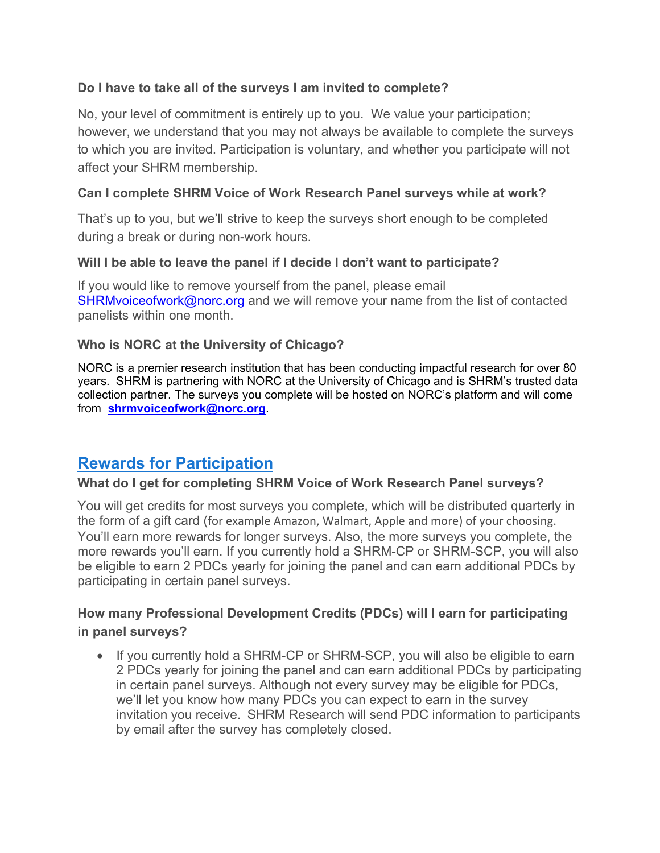#### **Do I have to take all of the surveys I am invited to complete?**

No, your level of commitment is entirely up to you. We value your participation; however, we understand that you may not always be available to complete the surveys to which you are invited. Participation is voluntary, and whether you participate will not affect your SHRM membership.

#### **Can I complete SHRM Voice of Work Research Panel surveys while at work?**

That's up to you, but we'll strive to keep the surveys short enough to be completed during a break or during non-work hours.

#### **Will I be able to leave the panel if I decide I don't want to participate?**

If you would like to remove yourself from the panel, please email [SHRMvoiceofwork@norc.org](mailto:SHRMvoiceofwork@norc.org) and we will remove your name from the list of contacted panelists within one month.

#### **Who is NORC at the University of Chicago?**

NORC is a premier research institution that has been conducting impactful research for over 80 years*.* SHRM is partnering with NORC at the University of Chicago and is SHRM's trusted data collection partner. The surveys you complete will be hosted on NORC's platform and will come from **[shrmvoiceofwork@norc.org](mailto:shrmvoiceofwork@norc.org)**.

# **[Rewards for Participation](https://www.shrm.org/hr-today/trends-and-forecasting/research-and-surveys/Pages/SHRM%20Research%20Panel.aspx)**

#### **What do I get for completing SHRM Voice of Work Research Panel surveys?**

You will get credits for most surveys you complete, which will be distributed quarterly in the form of a gift card (for example Amazon, Walmart, Apple and more) of your choosing. You'll earn more rewards for longer surveys. Also, the more surveys you complete, the more rewards you'll earn. If you currently hold a SHRM-CP or SHRM-SCP, you will also be eligible to earn 2 PDCs yearly for joining the panel and can earn additional PDCs by participating in certain panel surveys.

#### **How many Professional Development Credits (PDCs) will I earn for participating in panel surveys?**

• If you currently hold a SHRM-CP or SHRM-SCP, you will also be eligible to earn 2 PDCs yearly for joining the panel and can earn additional PDCs by participating in certain panel surveys. Although not every survey may be eligible for PDCs, we'll let you know how many PDCs you can expect to earn in the survey invitation you receive. SHRM Research will send PDC information to participants by email after the survey has completely closed.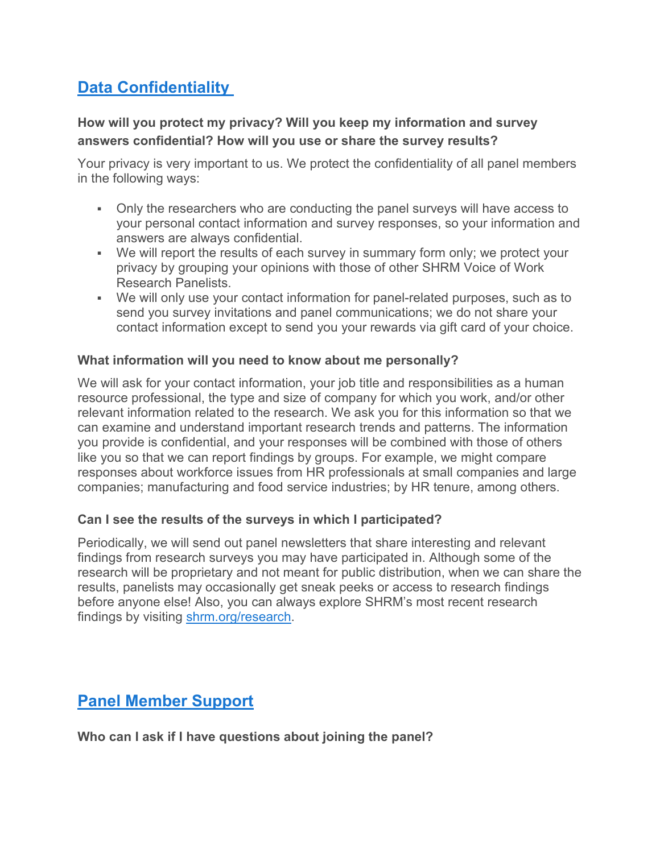# **[Data Confidentiality](https://www.shrm.org/hr-today/trends-and-forecasting/research-and-surveys/Pages/SHRM%20Research%20Panel.aspx)**

### **How will you protect my privacy? Will you keep my information and survey answers confidential? How will you use or share the survey results?**

Your privacy is very important to us. We protect the confidentiality of all panel members in the following ways:

- Only the researchers who are conducting the panel surveys will have access to your personal contact information and survey responses, so your information and answers are always confidential.
- We will report the results of each survey in summary form only; we protect your privacy by grouping your opinions with those of other SHRM Voice of Work Research Panelists.
- We will only use your contact information for panel-related purposes, such as to send you survey invitations and panel communications; we do not share your contact information except to send you your rewards via gift card of your choice.

#### **What information will you need to know about me personally?**

We will ask for your contact information, your job title and responsibilities as a human resource professional, the type and size of company for which you work, and/or other relevant information related to the research. We ask you for this information so that we can examine and understand important research trends and patterns. The information you provide is confidential, and your responses will be combined with those of others like you so that we can report findings by groups. For example, we might compare responses about workforce issues from HR professionals at small companies and large companies; manufacturing and food service industries; by HR tenure, among others.

#### **Can I see the results of the surveys in which I participated?**

Periodically, we will send out panel newsletters that share interesting and relevant findings from research surveys you may have participated in. Although some of the research will be proprietary and not meant for public distribution, when we can share the results, panelists may occasionally get sneak peeks or access to research findings before anyone else! Also, you can always explore SHRM's most recent research findings by visiting [shrm.org/research.](http://shrm.org/research)

## **[Panel Member Support](https://www.shrm.org/hr-today/trends-and-forecasting/research-and-surveys/Pages/SHRM%20Research%20Panel.aspx)**

**Who can I ask if I have questions about joining the panel?**